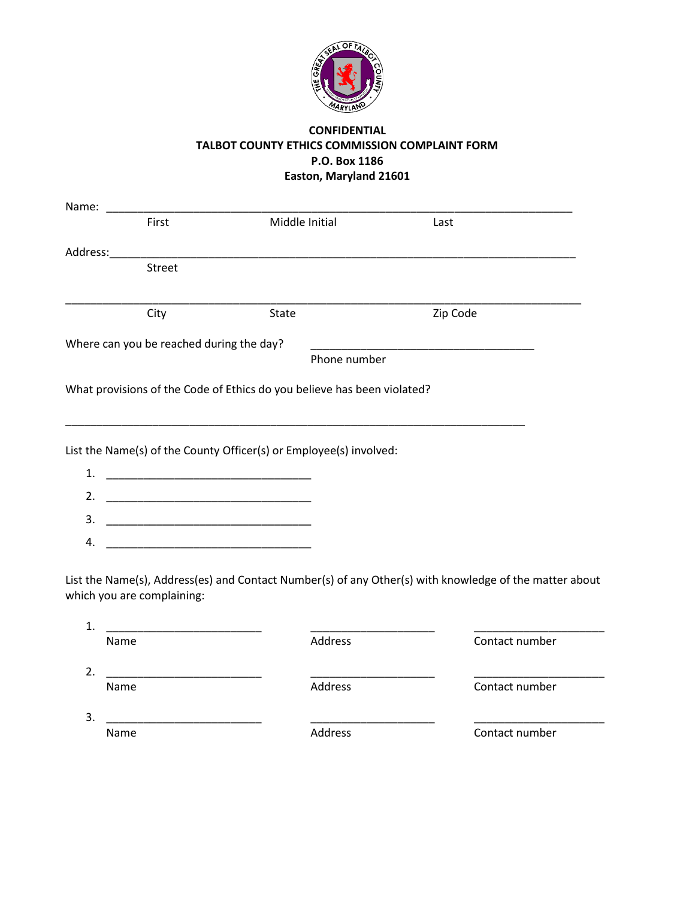

## **CONFIDENTIAL TALBOT COUNTY ETHICS COMMISSION COMPLAINT FORM P.O. Box 1186 Easton, Maryland 21601**

|    | Name:                                                                                                                 |                                                                         |          |                                                                                                        |
|----|-----------------------------------------------------------------------------------------------------------------------|-------------------------------------------------------------------------|----------|--------------------------------------------------------------------------------------------------------|
|    | First                                                                                                                 | Middle Initial                                                          | Last     |                                                                                                        |
|    | Address:___________                                                                                                   |                                                                         |          |                                                                                                        |
|    | Street                                                                                                                |                                                                         |          |                                                                                                        |
|    | City                                                                                                                  | State                                                                   | Zip Code |                                                                                                        |
|    | Where can you be reached during the day?                                                                              |                                                                         |          |                                                                                                        |
|    |                                                                                                                       | Phone number                                                            |          |                                                                                                        |
|    |                                                                                                                       | What provisions of the Code of Ethics do you believe has been violated? |          |                                                                                                        |
|    |                                                                                                                       | List the Name(s) of the County Officer(s) or Employee(s) involved:      |          |                                                                                                        |
|    |                                                                                                                       |                                                                         |          |                                                                                                        |
|    |                                                                                                                       |                                                                         |          |                                                                                                        |
| 3. | <u> 2002 - Johann John Stone, mars and de la provincia de la provincia de la provincia de la provincia de la pro</u>  |                                                                         |          |                                                                                                        |
| 4. |                                                                                                                       |                                                                         |          |                                                                                                        |
|    | which you are complaining:                                                                                            |                                                                         |          | List the Name(s), Address(es) and Contact Number(s) of any Other(s) with knowledge of the matter about |
| 1. | <u> 1980 - Jan Berlin, Amerikaansk politik fan de Afrikaanse komme om de Fryske komme om de Fryske komme om de Fr</u> |                                                                         |          |                                                                                                        |
|    | Name                                                                                                                  | Address                                                                 |          | Contact number                                                                                         |
| 2. |                                                                                                                       |                                                                         |          |                                                                                                        |
|    | Name                                                                                                                  | Address                                                                 |          | Contact number                                                                                         |
| 3. |                                                                                                                       |                                                                         |          |                                                                                                        |
|    | Name                                                                                                                  | Address                                                                 |          | Contact number                                                                                         |